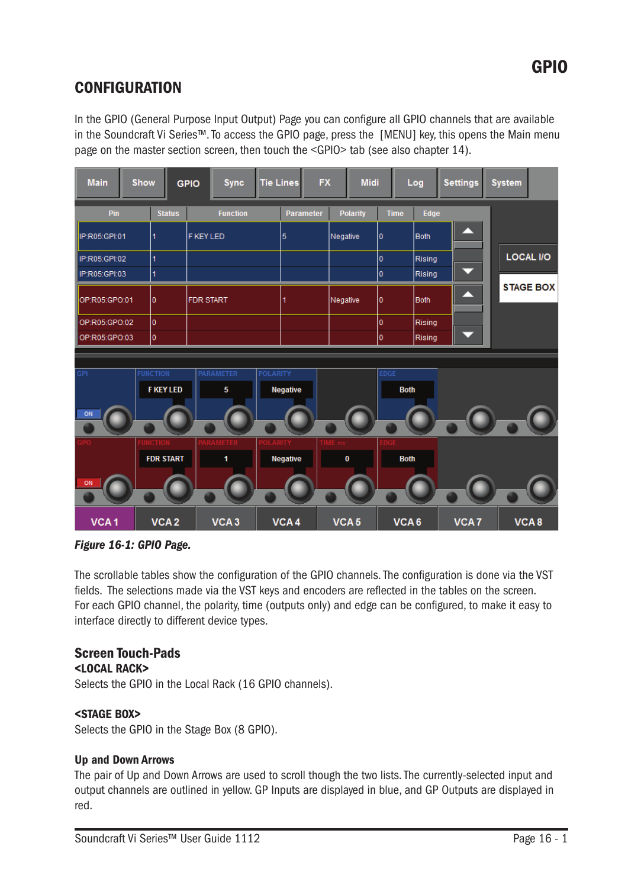# **CONFIGURATION**

In the GPIO (General Purpose Input Output) Page you can configure all GPIO channels that are available in the Soundcraft Vi Series™. To access the GPIO page, press the [MENU] key, this opens the Main menu page on the master section screen, then touch the <GPIO> tab (see also chapter 14).

| <b>Main</b>      | Show |                                     | <b>GPIO</b>      | <b>Sync</b>      | <b>Tie Lines</b> |                 | <b>FX</b>        |                  | <b>Midi</b>     |             | Log         |      | <b>Settings</b>  | <b>System</b> |                  |
|------------------|------|-------------------------------------|------------------|------------------|------------------|-----------------|------------------|------------------|-----------------|-------------|-------------|------|------------------|---------------|------------------|
| Pin              |      | <b>Status</b>                       |                  | <b>Function</b>  |                  |                 | <b>Parameter</b> |                  | <b>Polarity</b> | <b>Time</b> |             | Edge |                  |               |                  |
| IP:R05:GPI:01    |      | 1                                   | <b>F KEY LED</b> |                  |                  | 5               |                  | Negative         |                 | 0           | <b>Both</b> |      |                  |               |                  |
| IP:R05:GPI:02    |      | 1                                   |                  |                  |                  |                 |                  | O                | Rising          |             |             |      | <b>LOCAL I/O</b> |               |                  |
| IP:R05:GPI:03    |      | $\overline{1}$                      |                  |                  |                  |                 | $\overline{0}$   | Rising           |                 |             |             |      |                  |               |                  |
| OP:R05:GPO:01    |      | 0                                   | <b>FDR START</b> |                  |                  | 1               |                  | Negative         |                 | 0           | <b>Both</b> |      |                  |               | <b>STAGE BOX</b> |
| OP:R05:GPO:02    |      | O                                   |                  |                  |                  |                 |                  |                  |                 | 0           | Rising      |      |                  |               |                  |
| OP:R05:GPO:03    |      | I٥                                  |                  |                  |                  |                 |                  |                  |                 | I٥          | Rising      |      |                  |               |                  |
|                  |      |                                     |                  |                  |                  |                 |                  |                  |                 |             |             |      |                  |               |                  |
| <b>GPI</b><br>ON |      | <b>FUNCTION</b><br><b>F KEY LED</b> | <b>PARAMETER</b> | 5                | <b>POLARITY</b>  | <b>Negative</b> |                  |                  |                 | <b>EDGE</b> | <b>Both</b> |      |                  |               |                  |
|                  |      | <b>FDR START</b>                    |                  | 1                | )I ARIT          | Negative        |                  |                  | 0               |             | <b>Both</b> |      |                  |               |                  |
| ON               |      |                                     |                  |                  |                  |                 |                  |                  |                 |             |             |      |                  |               |                  |
| VCA <sub>1</sub> |      | VCA <sub>2</sub>                    |                  | VCA <sub>3</sub> |                  | VCA4            |                  | VCA <sub>5</sub> |                 |             | VCA6        |      | VCA7             |               | VCA8             |

*Figure 16-1: GPIO Page.*

The scrollable tables show the configuration of the GPIO channels. The configuration is done via the VST fields. The selections made via the VST keys and encoders are reflected in the tables on the screen. For each GPIO channel, the polarity, time (outputs only) and edge can be configured, to make it easy to interface directly to different device types.

# Screen Touch-Pads

<LOCAL RACK>

Selects the GPIO in the Local Rack (16 GPIO channels).

### <STAGE BOX>

Selects the GPIO in the Stage Box (8 GPIO).

### Up and Down Arrows

The pair of Up and Down Arrows are used to scroll though the two lists. The currently-selected input and output channels are outlined in yellow. GP Inputs are displayed in blue, and GP Outputs are displayed in red.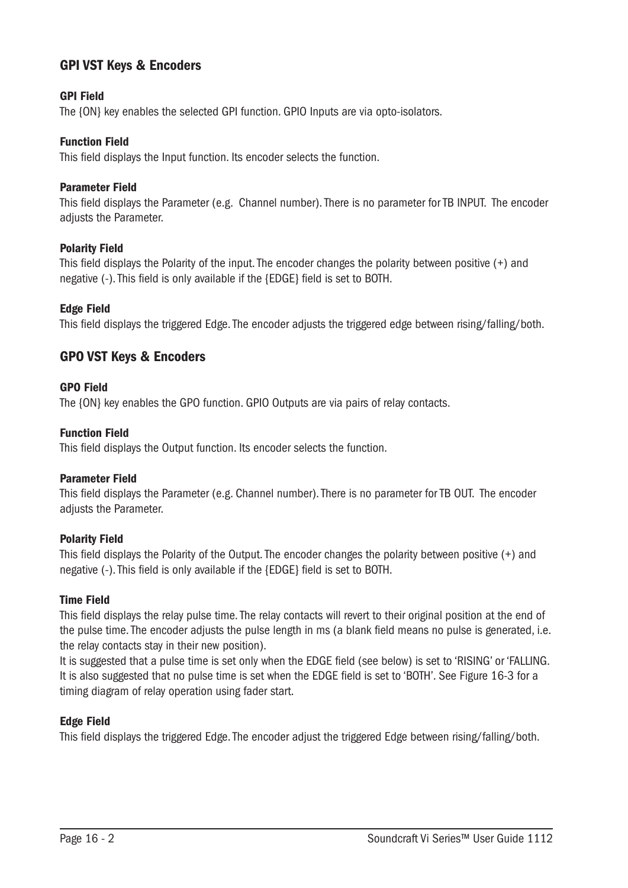## GPI VST Keys & Encoders

### GPI Field

The {ON} key enables the selected GPI function. GPIO Inputs are via opto-isolators.

#### Function Field

This field displays the Input function. Its encoder selects the function.

#### Parameter Field

This field displays the Parameter (e.g. Channel number). There is no parameter for TB INPUT. The encoder adjusts the Parameter.

#### Polarity Field

This field displays the Polarity of the input. The encoder changes the polarity between positive (+) and negative (-). This field is only available if the {EDGE} field is set to BOTH.

### Edge Field

This field displays the triggered Edge. The encoder adjusts the triggered edge between rising/falling/both.

## GPO VST Keys & Encoders

#### GPO Field

The {ON} key enables the GPO function. GPIO Outputs are via pairs of relay contacts.

#### Function Field

This field displays the Output function. Its encoder selects the function.

#### Parameter Field

This field displays the Parameter (e.g. Channel number). There is no parameter for TB OUT. The encoder adjusts the Parameter.

#### Polarity Field

This field displays the Polarity of the Output. The encoder changes the polarity between positive (+) and negative (-). This field is only available if the {EDGE} field is set to BOTH.

#### Time Field

This field displays the relay pulse time. The relay contacts will revert to their original position at the end of the pulse time. The encoder adjusts the pulse length in ms (a blank field means no pulse is generated, i.e. the relay contacts stay in their new position).

It is suggested that a pulse time is set only when the EDGE field (see below) is set to 'RISING' or 'FALLING. It is also suggested that no pulse time is set when the EDGE field is set to 'BOTH'. See Figure 16-3 for a timing diagram of relay operation using fader start.

#### Edge Field

This field displays the triggered Edge. The encoder adjust the triggered Edge between rising/falling/both.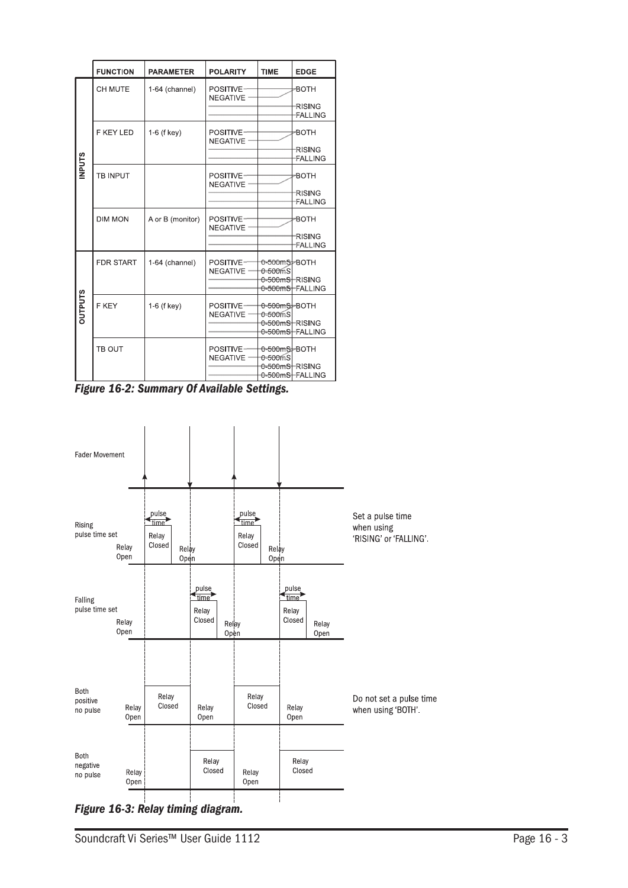|                | <b>FUNCTION</b>  | <b>PARAMETER</b> | <b>POLARITY</b>              | <b>TIME</b>                               | <b>EDGE</b>                     |
|----------------|------------------|------------------|------------------------------|-------------------------------------------|---------------------------------|
|                | CH MUTE          | 1-64 (channel)   | POSITIVE-<br><b>NEGATIVE</b> |                                           | -BOTH                           |
|                |                  |                  |                              |                                           | <b>RISING</b><br><b>FALLING</b> |
|                | <b>F KEY LED</b> | 1-6 (f key)      | POSITIVE-<br><b>NEGATIVE</b> |                                           | -BOTH                           |
| <b>INPUTS</b>  |                  |                  |                              |                                           | <b>RISING</b><br>FALLING        |
|                | <b>TB INPUT</b>  |                  | POSITIVE-<br><b>NEGATIVE</b> |                                           | -BOTH                           |
|                |                  |                  |                              |                                           | <b>RISING</b><br><b>FALLING</b> |
|                | <b>DIM MON</b>   | A or B (monitor) | POSITIVE-<br><b>NEGATIVE</b> |                                           | -BOTH                           |
|                |                  |                  |                              |                                           | <b>RISING</b><br>FALLING        |
|                | <b>FDR START</b> | 1-64 (channel)   | POSITIVE-<br><b>NEGATIVE</b> | 0-500mS-BOTH<br>$-500$ mS                 |                                 |
|                |                  |                  |                              | 0-500mSHRISING                            | 0-500mSHFALLING                 |
| <b>OUTPUTS</b> | F KEY            | $1-6$ (f key)    | POSITIVE-<br><b>NEGATIVE</b> | <del>0-500mSJ-</del> BOTH<br>$0 - 500$ mS |                                 |
|                |                  |                  |                              | <del>0-500mSH</del> RISING                | 0-500mSHFALLING                 |
|                | TB OUT           |                  | POSITIVE-<br><b>NEGATIVE</b> | 0-500mS-BOTH<br>$0 - 500$ mS              |                                 |
|                |                  |                  |                              | 0-500mSHRISING                            | 0-500mS-FALLING                 |

*Figure 16-2: Summary Of Available Settings.*



*Figure 16-3: Relay timing diagram.*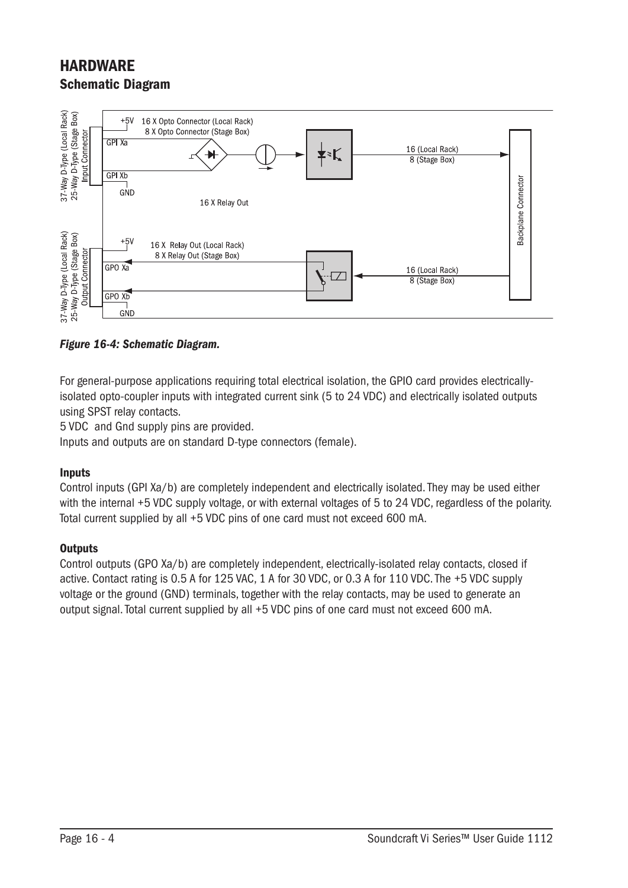# **HARDWARF** Schematic Diagram



### *Figure 16-4: Schematic Diagram.*

For general-purpose applications requiring total electrical isolation, the GPIO card provides electricallyisolated opto-coupler inputs with integrated current sink (5 to 24 VDC) and electrically isolated outputs using SPST relay contacts.

5 VDC and Gnd supply pins are provided.

Inputs and outputs are on standard D-type connectors (female).

#### Inputs

Control inputs (GPI Xa/b) are completely independent and electrically isolated. They may be used either with the internal +5 VDC supply voltage, or with external voltages of 5 to 24 VDC, regardless of the polarity. Total current supplied by all +5 VDC pins of one card must not exceed 600 mA.

#### **Outputs**

Control outputs (GPO Xa/b) are completely independent, electrically-isolated relay contacts, closed if active. Contact rating is 0.5 A for 125 VAC, 1 A for 30 VDC, or 0.3 A for 110 VDC. The +5 VDC supply voltage or the ground (GND) terminals, together with the relay contacts, may be used to generate an output signal. Total current supplied by all +5 VDC pins of one card must not exceed 600 mA.